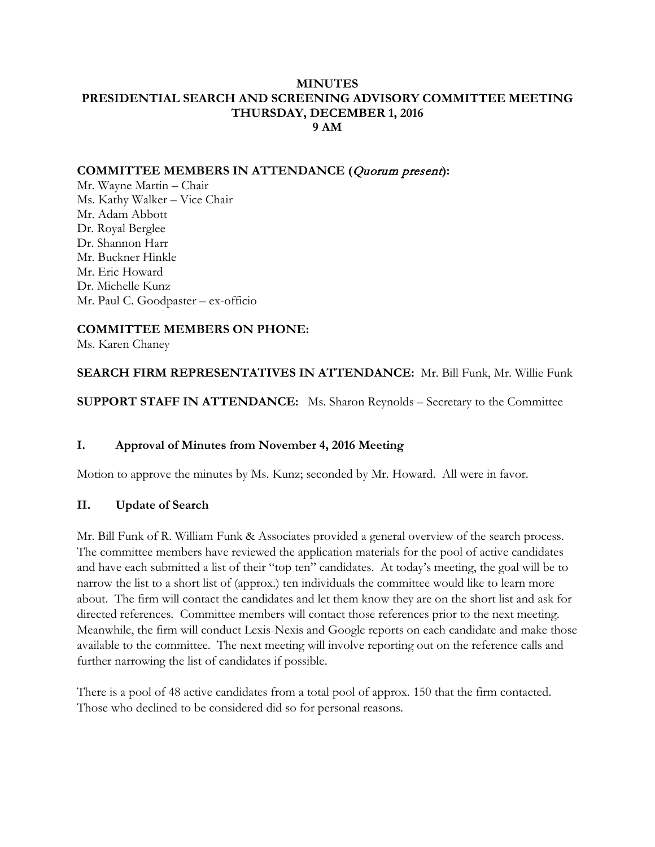#### **MINUTES PRESIDENTIAL SEARCH AND SCREENING ADVISORY COMMITTEE MEETING THURSDAY, DECEMBER 1, 2016 9 AM**

#### **COMMITTEE MEMBERS IN ATTENDANCE (**Quorum present**):**

Mr. Wayne Martin – Chair Ms. Kathy Walker – Vice Chair Mr. Adam Abbott Dr. Royal Berglee Dr. Shannon Harr Mr. Buckner Hinkle Mr. Eric Howard Dr. Michelle Kunz Mr. Paul C. Goodpaster – ex-officio

## **COMMITTEE MEMBERS ON PHONE:**

Ms. Karen Chaney

**SEARCH FIRM REPRESENTATIVES IN ATTENDANCE:** Mr. Bill Funk, Mr. Willie Funk

**SUPPORT STAFF IN ATTENDANCE:** Ms. Sharon Reynolds – Secretary to the Committee

#### **I. Approval of Minutes from November 4, 2016 Meeting**

Motion to approve the minutes by Ms. Kunz; seconded by Mr. Howard. All were in favor.

#### **II. Update of Search**

Mr. Bill Funk of R. William Funk & Associates provided a general overview of the search process. The committee members have reviewed the application materials for the pool of active candidates and have each submitted a list of their "top ten" candidates. At today's meeting, the goal will be to narrow the list to a short list of (approx.) ten individuals the committee would like to learn more about. The firm will contact the candidates and let them know they are on the short list and ask for directed references. Committee members will contact those references prior to the next meeting. Meanwhile, the firm will conduct Lexis-Nexis and Google reports on each candidate and make those available to the committee. The next meeting will involve reporting out on the reference calls and further narrowing the list of candidates if possible.

There is a pool of 48 active candidates from a total pool of approx. 150 that the firm contacted. Those who declined to be considered did so for personal reasons.